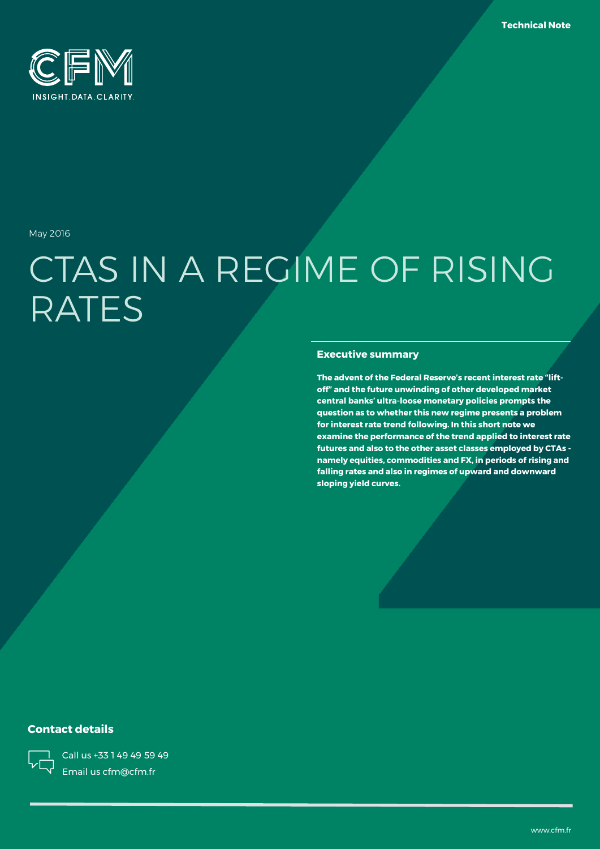

May 2016

# CTAS IN A REGIME OF RISING RATES

### **Executive summary**

**The advent of the Federal Reserve's recent interest rate "liftoff" and the future unwinding of other developed market central banks' ultra-loose monetary policies prompts the question as to whether this new regime presents a problem for interest rate trend following. In this short note we examine the performance of the trend applied to interest rate futures and also to the other asset classes employed by CTAs namely equities, commodities and FX, in periods of rising and falling rates and also in regimes of upward and downward sloping yield curves.**

### **Contact details**



Call us +33 1 49 49 59 49 Email us cfm@cfm.fr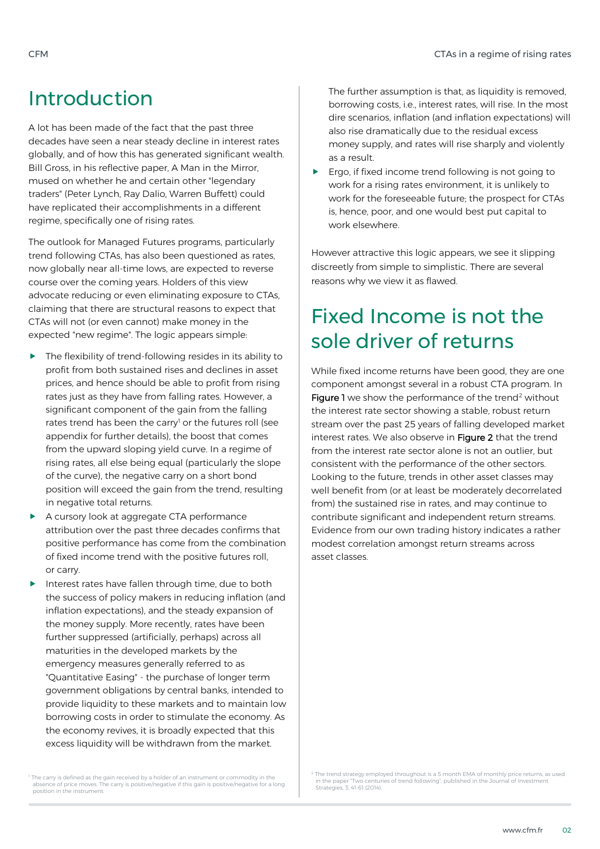### Introduction

A lot has been made of the fact that the past three decades have seen a near steady decline in interest rates globally, and of how this has generated significant wealth. Bill Gross, in his reflective paper, A Man in the Mirror, mused on whether he and certain other "legendary traders" (Peter Lynch, Ray Dalio, Warren Buffett) could have replicated their accomplishments in a different regime, specifically one of rising rates.

The outlook for Managed Futures programs, particularly trend following CTAs, has also been questioned as rates, now globally near all-time lows, are expected to reverse course over the coming years. Holders of this view advocate reducing or even eliminating exposure to CTAs, claiming that there are structural reasons to expect that CTAs will not (or even cannot) make money in the expected "new regime". The logic appears simple:

- $\blacktriangleright$  The flexibility of trend-following resides in its ability to profit from both sustained rises and declines in asset prices, and hence should be able to profit from rising rates just as they have from falling rates. However, a significant component of the gain from the falling rates trend has been the carry<sup>1</sup> or the futures roll (see appendix for further details), the boost that comes from the upward sloping yield curve. In a regime of rising rates, all else being equal (particularly the slope of the curve), the negative carry on a short bond position will exceed the gain from the trend, resulting in negative total returns.
- A cursory look at aggregate CTA performance attribution over the past three decades confirms that positive performance has come from the combination of fixed income trend with the positive futures roll, or carry.
- Interest rates have fallen through time, due to both the success of policy makers in reducing inflation (and inflation expectations), and the steady expansion of the money supply. More recently, rates have been further suppressed (artificially, perhaps) across all maturities in the developed markets by the emergency measures generally referred to as "Quantitative Easing" - the purchase of longer term government obligations by central banks, intended to provide liquidity to these markets and to maintain low borrowing costs in order to stimulate the economy. As the economy revives, it is broadly expected that this excess liquidity will be withdrawn from the market.

The further assumption is that, as liquidity is removed, borrowing costs, i.e., interest rates, will rise. In the most dire scenarios, inflation (and inflation expectations) will also rise dramatically due to the residual excess money supply, and rates will rise sharply and violently as a result.

Ergo, if fixed income trend following is not going to work for a rising rates environment, it is unlikely to work for the foreseeable future; the prospect for CTAs is, hence, poor, and one would best put capital to work elsewhere.

However attractive this logic appears, we see it slipping discreetly from simple to simplistic. There are several reasons why we view it as flawed.

# Fixed Income is not the sole driver of returns

While fixed income returns have been good, they are one component amongst several in a robust CTA program. In Figure 1 we show the performance of the trend<sup>2</sup> without the interest rate sector showing a stable, robust return stream over the past 25 years of falling developed market interest rates. We also observe in Figure 2 that the trend from the interest rate sector alone is not an outlier, but consistent with the performance of the other sectors. Looking to the future, trends in other asset classes may well benefit from (or at least be moderately decorrelated from) the sustained rise in rates, and may continue to contribute significant and independent return streams. Evidence from our own trading history indicates a rather modest correlation amongst return streams across asset classes.

<sup>1</sup> The carry is defined as the gain received by a holder of an instrument or commodity in the absence of price moves. The carry is positive/negative if this gain is positive/negative for a long position in the instrument.

 $^2$  The trend strategy employed throughout is a 5 month EMA of monthly price returns, as used ittey, employed unoughout is a stributing meaning price retains, a<br>"Two centuries of trend following", published in the Journal of Investment ITHE NOTE -<br>in the paper "Two centur<br>Strategies, 3, 41-61 (2014).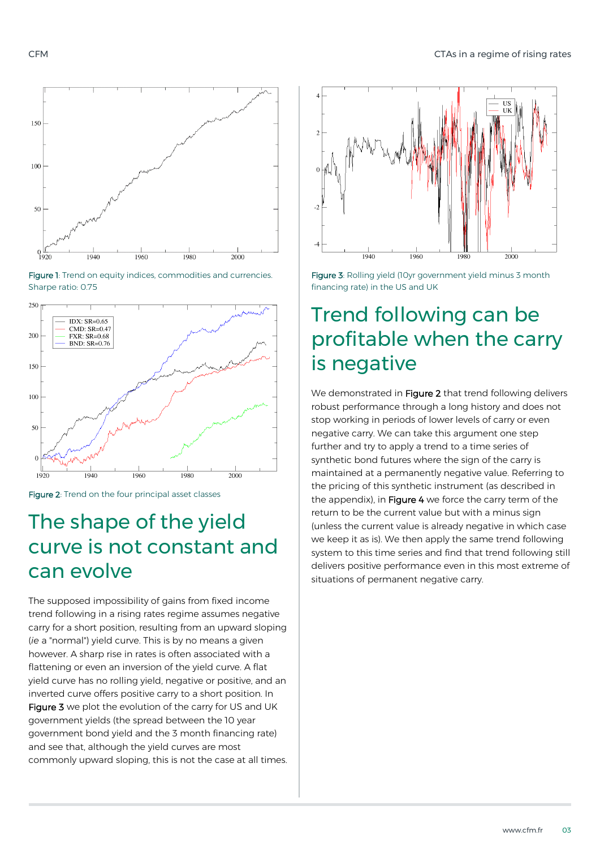







### The shape of the yield curve is not constant and can evolve

The supposed impossibility of gains from fixed income trend following in a rising rates regime assumes negative carry for a short position, resulting from an upward sloping (*ie* a "normal") yield curve. This is by no means a given however. A sharp rise in rates is often associated with a flattening or even an inversion of the yield curve. A flat yield curve has no rolling yield, negative or positive, and an inverted curve offers positive carry to a short position. In Figure 3 we plot the evolution of the carry for US and UK government yields (the spread between the 10 year government bond yield and the 3 month financing rate) and see that, although the yield curves are most commonly upward sloping, this is not the case at all times.



Figure 3: Rolling yield (10yr government yield minus 3 month financing rate) in the US and UK

# Trend following can be profitable when the carry is negative

We demonstrated in Figure 2 that trend following delivers robust performance through a long history and does not stop working in periods of lower levels of carry or even negative carry. We can take this argument one step further and try to apply a trend to a time series of synthetic bond futures where the sign of the carry is maintained at a permanently negative value. Referring to the pricing of this synthetic instrument (as described in the appendix), in Figure 4 we force the carry term of the return to be the current value but with a minus sign (unless the current value is already negative in which case we keep it as is). We then apply the same trend following system to this time series and find that trend following still delivers positive performance even in this most extreme of situations of permanent negative carry.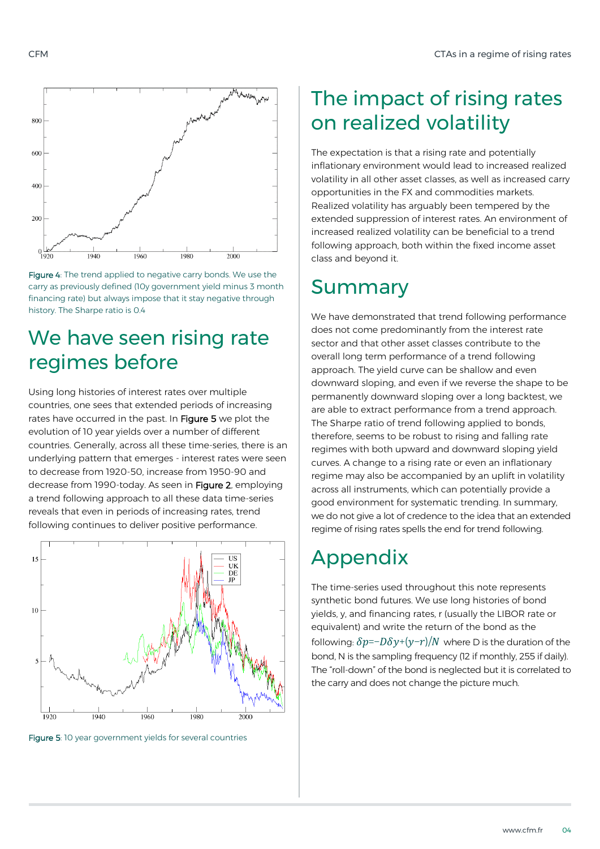



## We have seen rising rate regimes before

Using long histories of interest rates over multiple countries, one sees that extended periods of increasing rates have occurred in the past. In Figure 5 we plot the evolution of 10 year yields over a number of different countries. Generally, across all these time-series, there is an underlying pattern that emerges - interest rates were seen to decrease from 1920-50, increase from 1950-90 and decrease from 1990-today. As seen in Figure 2, employing a trend following approach to all these data time-series reveals that even in periods of increasing rates, trend following continues to deliver positive performance.



Figure 5: 10 year government yields for several countries

# The impact of rising rates on realized volatility

The expectation is that a rising rate and potentially inflationary environment would lead to increased realized volatility in all other asset classes, as well as increased carry opportunities in the FX and commodities markets. Realized volatility has arguably been tempered by the extended suppression of interest rates. An environment of increased realized volatility can be beneficial to a trend following approach, both within the fixed income asset class and beyond it.

### Summary

We have demonstrated that trend following performance does not come predominantly from the interest rate sector and that other asset classes contribute to the overall long term performance of a trend following approach. The yield curve can be shallow and even downward sloping, and even if we reverse the shape to be permanently downward sloping over a long backtest, we are able to extract performance from a trend approach. The Sharpe ratio of trend following applied to bonds, therefore, seems to be robust to rising and falling rate regimes with both upward and downward sloping yield curves. A change to a rising rate or even an inflationary regime may also be accompanied by an uplift in volatility across all instruments, which can potentially provide a good environment for systematic trending. In summary, we do not give a lot of credence to the idea that an extended regime of rising rates spells the end for trend following.

### Appendix

The time-series used throughout this note represents synthetic bond futures. We use long histories of bond yields, y, and financing rates, r (usually the LIBOR rate or equivalent) and write the return of the bond as the following:  $\delta p=-D\delta y+(y-r)/N$  where D is the duration of the bond, N is the sampling frequency (12 if monthly, 255 if daily). The "roll-down" of the bond is neglected but it is correlated to the carry and does not change the picture much.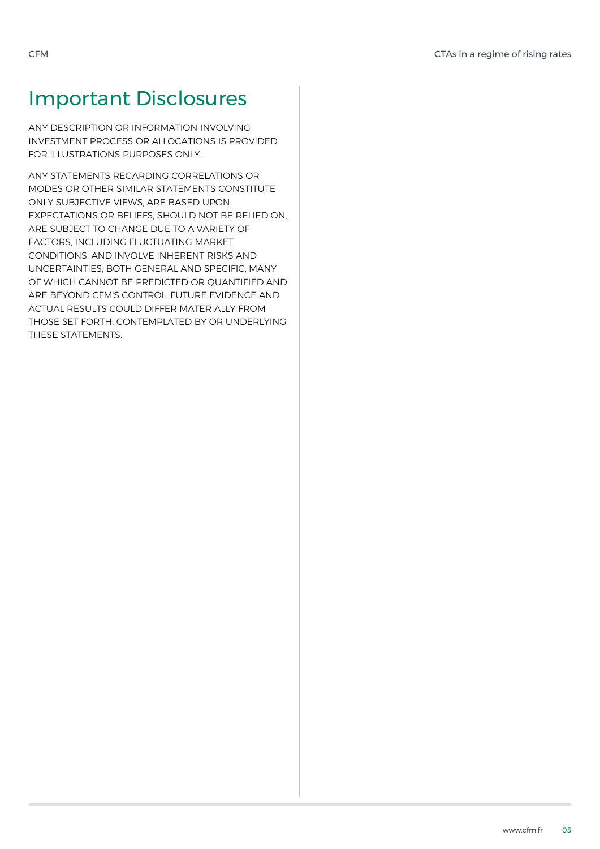# Important Disclosures

ANY DESCRIPTION OR INFORMATION INVOLVING INVESTMENT PROCESS OR ALLOCATIONS IS PROVIDED FOR ILLUSTRATIONS PURPOSES ONLY.

ANY STATEMENTS REGARDING CORRELATIONS OR MODES OR OTHER SIMILAR STATEMENTS CONSTITUTE ONLY SUBJECTIVE VIEWS, ARE BASED UPON EXPECTATIONS OR BELIEFS, SHOULD NOT BE RELIED ON, ARE SUBJECT TO CHANGE DUE TO A VARIETY OF FACTORS, INCLUDING FLUCTUATING MARKET CONDITIONS, AND INVOLVE INHERENT RISKS AND UNCERTAINTIES, BOTH GENERAL AND SPECIFIC, MANY OF WHICH CANNOT BE PREDICTED OR QUANTIFIED AND ARE BEYOND CFM'S CONTROL. FUTURE EVIDENCE AND ACTUAL RESULTS COULD DIFFER MATERIALLY FROM THOSE SET FORTH, CONTEMPLATED BY OR UNDERLYING THESE STATEMENTS.